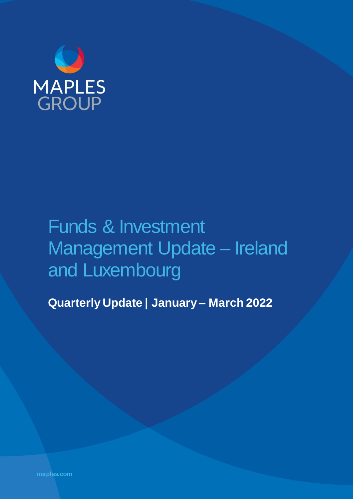

# Funds & Investment Management Update – Ireland and Luxembourg

**Quarterly Update | January – March 2022**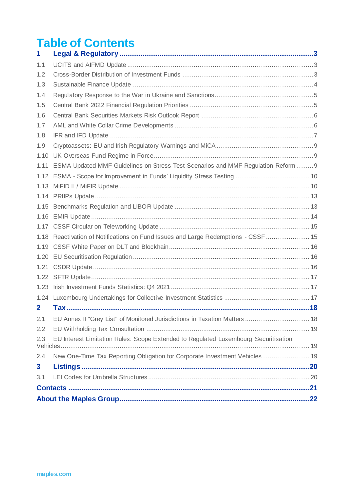### **Table of Contents**

| 1            |                                                                                     |  |
|--------------|-------------------------------------------------------------------------------------|--|
| 1.1          |                                                                                     |  |
| 1.2          |                                                                                     |  |
| 1.3          |                                                                                     |  |
| 1.4          |                                                                                     |  |
| 1.5          |                                                                                     |  |
| 1.6          |                                                                                     |  |
| 1.7          |                                                                                     |  |
| 1.8          |                                                                                     |  |
| 1.9          |                                                                                     |  |
| 1.10         |                                                                                     |  |
| 1.11         | ESMA Updated MMF Guidelines on Stress Test Scenarios and MMF Regulation Reform  9   |  |
| 1.12         |                                                                                     |  |
| 1.13         |                                                                                     |  |
|              |                                                                                     |  |
| 1.15         |                                                                                     |  |
| 1.16         |                                                                                     |  |
|              |                                                                                     |  |
| 1.18         | Reactivation of Notifications on Fund Issues and Large Redemptions - CSSF  15       |  |
| 1.19         |                                                                                     |  |
| 1.20         |                                                                                     |  |
| 1.21         |                                                                                     |  |
| 1.22         |                                                                                     |  |
| 1.23         |                                                                                     |  |
|              |                                                                                     |  |
| $\mathbf{2}$ |                                                                                     |  |
| 2.1          | EU Annex II "Grey List" of Monitored Jurisdictions in Taxation Matters  18          |  |
| 2.2          |                                                                                     |  |
| 2.3          | EU Interest Limitation Rules: Scope Extended to Regulated Luxembourg Securitisation |  |
| 2.4          | New One-Time Tax Reporting Obligation for Corporate Investment Vehicles 19          |  |
| 3            |                                                                                     |  |
| 3.1          |                                                                                     |  |
|              |                                                                                     |  |
|              |                                                                                     |  |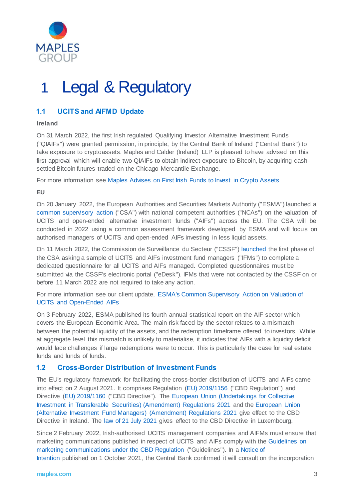

# 1 Legal & Regulatory

#### **1.1 UCITS and AIFMD Update**

#### **Ireland**

On 31 March 2022, the first Irish regulated Qualifying Investor Alternative Investment Funds ("QIAIFs") were granted permission, in principle, by the Central Bank of Ireland ("Central Bank") to take exposure to cryptoassets. Maples and Calder (Ireland) LLP is pleased to have advised on this first approval which will enable two QIAIFs to obtain indirect exposure to Bitcoin, by acquiring cashsettled Bitcoin futures traded on the Chicago Mercantile Exchange.

For more information see [Maples Advises on First Irish Funds to Invest in Crypto Assets](https://maples.com/en/news/2022/4/maples-advises-on-first-irish-funds-to-invest-in-crypto-assets)

**EU**

On 20 January 2022, the European Authorities and Securities Markets Authority ("ESMA") launched a [common supervisory](https://www.esma.europa.eu/press-news/esma-news/esma-launches-common-supervisory-action-ncas-valuation-ucits-and-open-ended) action ("CSA") with national competent authorities ("NCAs") on the valuation of UCITS and open-ended alternative investment funds ("AIFs") across the EU. The CSA will be conducted in 2022 using a common assessment framework developed by ESMA and will focus on authorised managers of UCITS and open-ended AIFs investing in less liquid assets.

On 11 March 2022, the Commission de Surveillance du Secteur ("CSSF") [launched](https://www.cssf.lu/en/2022/03/launch-of-the-esma-common-supervisory-action-on-valuation-of-ucits-and-open-ended-aifs-2/) the first phase of the CSA asking a sample of UCITS and AIFs investment fund managers ("IFMs") to complete a dedicated questionnaire for all UCITS and AIFs managed. Completed questionnaires must be submitted via the CSSF's electronic portal ("eDesk"). IFMs that were not contacted by the CSSF on or before 11 March 2022 are not required to take any action.

For more information see our client update, [ESMA's Common Supervisory Action on Valuation of](https://maples.com/en/knowledge-centre/2022/1/esma-launches-common-supervisory-action-on-valuation-of-ucits-and-open-ended-aifs)  [UCITS and Open-Ended AIFs](https://maples.com/en/knowledge-centre/2022/1/esma-launches-common-supervisory-action-on-valuation-of-ucits-and-open-ended-aifs)

On 3 February 2022, ESMA published its fourth annual statistical report on the AIF sector which covers the European Economic Area. The main risk faced by the sector relates to a mismatch between the potential liquidity of the assets, and the redemption timeframe offered to investors. While at aggregate level this mismatch is unlikely to materialise, it indicates that AIFs with a liquidity deficit would face challenges if large redemptions were to occur. This is particularly the case for real estate funds and funds of funds.

#### **1.2 Cross-Border Distribution of Investment Funds**

The EU's regulatory framework for facilitating the cross-border distribution of UCITS and AIFs came into effect on 2 August 2021. It comprises Regulation [\(EU\) 2019/1156](https://eur-lex.europa.eu/legal-content/EN/TXT/?uri=CELEX%3A32019R1156) ("CBD Regulation") and Directive [\(EU\) 2019/1160](https://eur-lex.europa.eu/legal-content/EN/TXT/?uri=CELEX%3A32019L1160) ("CBD Directive"). The [European Union \(Undertakings for Collective](http://email.mediahq.com/ls/click?upn=dzys9oEMACnhhrfSbxnCNKdMRBt5J4l9exPgzuEJ-2F6H-2BVrW4pjWYfGcc37BtQu4khBr3dv-2FbrZRCUukU25WXcb-2F3te8gOfYkGcu52W0Gezra1fH0HFkaCVvU0a54X9g518vqKqCn7813dHog7hsG3-2BgbN7TtgPqAZalM9Iv3rVYCqrN3sZfi5NznT1rZMyOqH2rbItAmGjn6ktEWF6P3tA-3D-3DkLTO_UhPZkopTI9XxQT7tooyXT72ZAz5haFcBhpkOKMAVJFYFH9u8FK7KLjJYdS4TB3lq5183RpxSV9-2B6-2BvjGtVXMd8Vy1pnV5-2BMJ9YR0QafaqDBga-2Ba7G1xAmCa-2BslJ7lD32E4x-2BjExw8GrHjZnm320JY-2Bz9J-2BaOY-2F-2BWq4UCDIvnCVcu9s5uq7es-2FHamg7LPYb2yh3pWUK4ihrfYvWxBAYSxuPtDlKmbJnYxnYgRefAv5mfqiEC1T-2F75vNLdKl12UO26OoTFs-2FxokLlOQoGbAd9fcg-3D-3D)  [Investment in Transferable Securities\) \(Amendment\) Regulations 2021](http://email.mediahq.com/ls/click?upn=dzys9oEMACnhhrfSbxnCNKdMRBt5J4l9exPgzuEJ-2F6H-2BVrW4pjWYfGcc37BtQu4khBr3dv-2FbrZRCUukU25WXcb-2F3te8gOfYkGcu52W0Gezra1fH0HFkaCVvU0a54X9g518vqKqCn7813dHog7hsG3-2BgbN7TtgPqAZalM9Iv3rVYCqrN3sZfi5NznT1rZMyOqH2rbItAmGjn6ktEWF6P3tA-3D-3DkLTO_UhPZkopTI9XxQT7tooyXT72ZAz5haFcBhpkOKMAVJFYFH9u8FK7KLjJYdS4TB3lq5183RpxSV9-2B6-2BvjGtVXMd8Vy1pnV5-2BMJ9YR0QafaqDBga-2Ba7G1xAmCa-2BslJ7lD32E4x-2BjExw8GrHjZnm320JY-2Bz9J-2BaOY-2F-2BWq4UCDIvnCVcu9s5uq7es-2FHamg7LPYb2yh3pWUK4ihrfYvWxBAYSxuPtDlKmbJnYxnYgRefAv5mfqiEC1T-2F75vNLdKl12UO26OoTFs-2FxokLlOQoGbAd9fcg-3D-3D) and the [European Union](http://email.mediahq.com/ls/click?upn=dzys9oEMACnhhrfSbxnCNKdMRBt5J4l9exPgzuEJ-2F6GBVVVu5vzCCPjdXIgNMUvAHT9bHXlr65s6sDird5XQhKr00f50tCYLOOtzLwHPvOk8rihcBWDCBOkAD9G6lvOSPUV6smiNgu-2F5uWq2USxjJScmpIa0MxTOXSpfX79wAzI-3Dz4hX_UhPZkopTI9XxQT7tooyXT72ZAz5haFcBhpkOKMAVJFYFH9u8FK7KLjJYdS4TB3lq5183RpxSV9-2B6-2BvjGtVXMd8Vy1pnV5-2BMJ9YR0QafaqDBga-2Ba7G1xAmCa-2BslJ7lD323clMlIYqFmhVQ0SsC2BbFuQe5tOyPMlCuc9-2BhymqrLKA1D9CVd-2BxySSQEoa-2B70gzWSDxcl2gXd3IMRAtHM48msuVWYjGNQ7fNRaE3cR-2BDqFeIEzo5JpfhAUocqISL7H-2BhHT7QEC2nP-2B28Nb-2Fuac-2BbQ-3D-3D)  [\(Alternative Investment Fund Managers\) \(Amendment\) Regulations 2021](http://email.mediahq.com/ls/click?upn=dzys9oEMACnhhrfSbxnCNKdMRBt5J4l9exPgzuEJ-2F6GBVVVu5vzCCPjdXIgNMUvAHT9bHXlr65s6sDird5XQhKr00f50tCYLOOtzLwHPvOk8rihcBWDCBOkAD9G6lvOSPUV6smiNgu-2F5uWq2USxjJScmpIa0MxTOXSpfX79wAzI-3Dz4hX_UhPZkopTI9XxQT7tooyXT72ZAz5haFcBhpkOKMAVJFYFH9u8FK7KLjJYdS4TB3lq5183RpxSV9-2B6-2BvjGtVXMd8Vy1pnV5-2BMJ9YR0QafaqDBga-2Ba7G1xAmCa-2BslJ7lD323clMlIYqFmhVQ0SsC2BbFuQe5tOyPMlCuc9-2BhymqrLKA1D9CVd-2BxySSQEoa-2B70gzWSDxcl2gXd3IMRAtHM48msuVWYjGNQ7fNRaE3cR-2BDqFeIEzo5JpfhAUocqISL7H-2BhHT7QEC2nP-2B28Nb-2Fuac-2BbQ-3D-3D) give effect to the CBD Directive in Ireland. The [law of 21 July 2021](https://data.legilux.public.lu/file/eli-etat-leg-loi-2021-07-21-a561-jo-fr-pdf.pdf) gives effect to the CBD Directive in Luxembourg.

Since 2 February 2022, Irish-authorised UCITS management companies and AIFMs must ensure that marketing communications published in respect of UCITS and AIFs comply with th[e Guidelines on](https://www.esma.europa.eu/document/guidelines-marketing-communications-under-regulation-cross-border-distribution-funds)  [marketing communications under the CBD Regulation](https://www.esma.europa.eu/document/guidelines-marketing-communications-under-regulation-cross-border-distribution-funds) ("Guidelines"). In a [Notice of](https://www.centralbank.ie/docs/default-source/regulation/industry-market-sectors/funds/industry-communications/notice-of-intention-application-of-esma-guidelines-marketing-communications-under-the-regulation-on-cross-border-distribution-of-funds.pdf?sfvrsn=4)  [Intention](https://www.centralbank.ie/docs/default-source/regulation/industry-market-sectors/funds/industry-communications/notice-of-intention-application-of-esma-guidelines-marketing-communications-under-the-regulation-on-cross-border-distribution-of-funds.pdf?sfvrsn=4) published on 1 October 2021, the Central Bank confirmed it will consult on the incorporation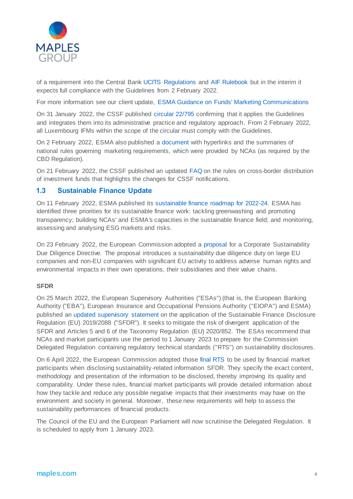

of a requirement into the Central Bank [UCITS Regulations](https://www.irishstatutebook.ie/eli/2019/si/230/made/en/print?q=230) and [AIF Rulebook](https://www.centralbank.ie/docs/default-source/regulation/industry-market-sectors/funds/aifs/guidance/aif-rulebook-march-2018.pdf?sfvrsn=6) but in the interim it expects full compliance with the Guidelines from 2 February 2022.

For more information see our client update, [ESMA Guidance on Funds' Marketing Communications](https://maples.com/en/knowledge-centre/2022/1/esma-guidance-on-funds-marketing-communications)

On 31 January 2022, the CSSF published [circular 22/795](https://www.cssf.lu/wp-content/uploads/cssf22_795eng.pdf) confirming that it applies the Guidelines and integrates them into its administrative practice and regulatory approach. From 2 February 2022, all Luxembourg IFMs within the scope of the circular must comply with the Guidelines.

On 2 February 2022, ESMA also published a [document](https://www.esma.europa.eu/document/cross-border-distribution-investment-funds) with hyperlinks and the summaries of national rules governing marketing requirements, which were provided by NCAs (as required by the CBD Regulation).

On 21 February 2022, the CSSF published an updated [FAQ](https://www.cssf.lu/wp-content/uploads/FAQ_CBDF.pdf) on the rules on cross-border distribution of investment funds that highlights the changes for CSSF notifications.

#### **1.3 Sustainable Finance Update**

On 11 February 2022, ESMA published its [sustainable finance roadmap for 2022-24.](https://www.esma.europa.eu/sites/default/files/library/esma30-379-1051_sustainable_finance_roadmap.pdf) ESMA has identified three priorities for its sustainable finance work: tackling greenwashing and promoting transparency; building NCAs' and ESMA's capacities in the sustainable finance field; and monitoring, assessing and analysing ESG markets and risks.

On 23 February 2022, the European Commission adopted a [proposal](https://ec.europa.eu/commission/presscorner/detail/en/ip_22_1145) for a Corporate Sustainability Due Diligence Directive. The proposal introduces a sustainability due diligence duty on large EU companies and non-EU companies with significant EU activity to address adverse human rights and environmental impacts in their own operations, their subsidiaries and their value chains.

#### **SFDR**

On 25 March 2022, the European Supervisory Authorities ("ESAs") (that is, the European Banking Authority ("EBA"), European Insurance and Occupational Pensions Authority ("EIOPA") and ESMA) published a[n updated supervisory statement](https://www.esma.europa.eu/sites/default/files/library/jc_2022_12_-_updated_supervisory_statement_on_the_application_of_the_sfdr.pdf) on the application of the Sustainable Finance Disclosure Regulation (EU) 2019/2088 ("SFDR"). It seeks to mitigate the risk of divergent application of the SFDR and Articles 5 and 6 of the Taxonomy Regulation (EU) 2020/852. The ESAs recommend that NCAs and market participants use the period to 1 January 2023 to prepare for the Commission Delegated Regulation containing regulatory technical standards ("RTS") on sustainability disclosures.

On 6 April 2022, the European Commission adopted thos[e final RTS](https://ec.europa.eu/finance/docs/level-2-measures/C_2022_1931_1_EN_ACT_part1_v6%20(1).pdf) to be used by financial market participants when disclosing sustainability-related information SFDR. They specify the exact content, methodology and presentation of the information to be disclosed, thereby improving its quality and comparability. Under these rules, financial market participants will provide detailed information about how they tackle and reduce any possible negative impacts that their investments may have on the environment and society in general. Moreover, these new requirements will help to assess the sustainability performances of financial products.

The Council of the EU and the European Parliament will now scrutinise the Delegated Regulation. It is scheduled to apply from 1 January 2023.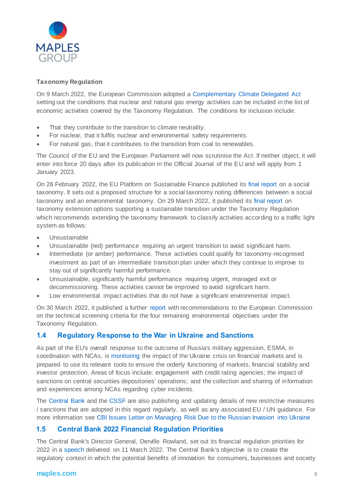

#### **Taxonomy Regulation**

On 9 March 2022, the European Commission adopted a [Complementary Climate Delegated Act](https://ec.europa.eu/transparency/documents-register/api/files/C(2022)631_0/090166e5e98cca4f?rendition=false) setting out the conditions that nuclear and natural gas energy activities can be included in the list of economic activities covered by the Taxonomy Regulation. The conditions for inclusion include:

- That they contribute to the transition to climate neutrality.
- For nuclear, that it fulfils nuclear and environmental safety requirements.
- For natural gas, that it contributes to the transition from coal to renewables.

The Council of the EU and the European Parliament will now scrutinise the Act. If neither object, it will enter into force 20 days after its publication in the Official Journal of the EU and will apply from 1 January 2023.

On 28 February 2022, the EU Platform on Sustainable Finance published its [final report](https://ec.europa.eu/info/sites/default/files/business_economy_euro/banking_and_finance/documents/280222-sustainable-finance-platform-finance-report-social-taxonomy.pdf) on a social taxonomy. It sets out a proposed structure for a social taxonomy noting differences between a social taxonomy and an environmental taxonomy. On 29 March 2022, it published its [final report](https://ec.europa.eu/info/files/220329-sustainable-finance-platform-finance-report-environmental-transition-taxonomy_en) on taxonomy extension options supporting a sustainable transition under the Taxonomy Regulation which recommends extending the taxonomy framework to classify activities according to a traffic light system as follows:

- Unsustainable
- Unsustainable (red) performance requiring an urgent transition to avoid significant harm.
- Intermediate (or amber) performance. These activities could qualify for taxonomy-recognised investment as part of an intermediate transition plan under which they continue to improve to stay out of significantly harmful performance.
- Unsustainable, significantly harmful performance requiring urgent, managed exit or decommissioning. These activities cannot be improved to avoid significant harm.
- Low environmental impact activities that do not have a significant environmental impact.

On 30 March 2022, it published a further [report](https://ec.europa.eu/info/files/220330-sustainable-finance-platform-finance-report-remaining-environmental-objectives-taxonomy_en) with recommendations to the European Commission on the technical screening criteria for the four remaining environmental objectives under the Taxonomy Regulation.

#### **1.4 Regulatory Response to the War in Ukraine and Sanctions**

As part of the EU's overall response to the outcome of Russia's military aggression, ESMA, in coordination with NCAs, i[s monitoring](https://www.esma.europa.eu/press-news/esma-news/esma-coordinates-regulatory-response-war-in-ukraine-and-its-impact-eu-financial) the impact of the Ukraine crisis on financial markets and is prepared to use its relevant tools to ensure the orderly functioning of markets, financial stability and investor protection. Areas of focus include: engagement with credit rating agencies; the impact of sanctions on central securities depositories' operations; and the collection and sharing of information and experiences among NCAs regarding cyber incidents.

The [Central Bank](https://www.centralbank.ie/regulation/how-we-regulate/international-financial-sanctions/changes-to-the-russia-ukraine-regulations) and the [CSSF](https://www.cssf.lu/en/ukraine-crisis/) are also publishing and updating details of new restrictive measures / sanctions that are adopted in this regard regularly, as well as any associated EU / UN guidance. For more information see [CBI Issues Letter on Managing Risk Due to the Russian Invasion into Ukraine](https://thoughts.maples.com/post/102hk8g/cbi-issues-letter-on-managing-risk-due-to-the-russian-invasion-into-ukraine)

#### **1.5 Central Bank 2022 Financial Regulation Priorities**

The Central Bank's Director General, Derville Rowland, set out its financial regulation priorities for 2022 in [a speech](https://www.centralbank.ie/news/article/press-release-central-bank-director-general-sets-out-2022-financial-regulation-priorities-11-march-2022#:~:text=Central%20Bank%20Director%20General%20sets%20out%202022%20financial%20regulation%2) delivered on 11 March 2022. The Central Bank's objective is to create the regulatory context in which the potential benefits of innovation for consumers, businesses and society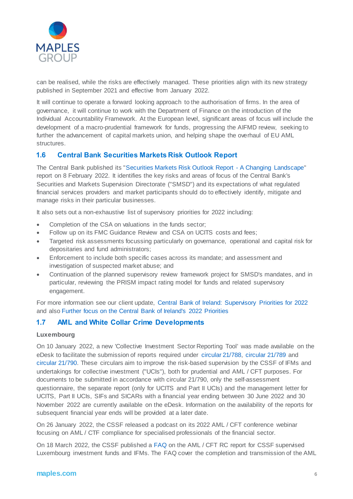

can be realised, while the risks are effectively managed. These priorities align with its new strategy published in September 2021 and effective from January 2022.

It will continue to operate a forward looking approach to the authorisation of firms. In the area of governance, it will continue to work with the Department of Finance on the introduction of the Individual Accountability Framework. At the European level, significant areas of focus will include the development of a macro-prudential framework for funds, progressing the AIFMD review, seeking to further the advancement of capital markets union, and helping shape the overhaul of EU AML structures.

#### **1.6 Central Bank Securities Markets Risk Outlook Report**

The Central Bank published its ["Securities Markets Risk Outlook Report -](https://www.centralbank.ie/regulation/industry-market-sectors/securities-markets/risk-outlook-reports) A Changing Landscape" report on 8 February 2022. It identifies the key risks and areas of focus of the Central Bank's Securities and Markets Supervision Directorate ("SMSD") and its expectations of what regulated financial services providers and market participants should do to effectively identify, mitigate and manage risks in their particular businesses.

It also sets out a non-exhaustive list of supervisory priorities for 2022 including:

- Completion of the CSA on valuations in the funds sector;
- Follow up on its FMC Guidance Review and CSA on UCITS costs and fees;
- Targeted risk assessments focussing particularly on governance, operational and capital risk for depositaries and fund administrators;
- Enforcement to include both specific cases across its mandate; and assessment and investigation of suspected market abuse; and
- Continuation of the planned supervisory review framework project for SMSD's mandates, and in particular, reviewing the PRISM impact rating model for funds and related supervisory engagement.

For more information see our client update, [Central Bank of Ireland: Supervisory Priorities for 2022](https://maples.com/en/knowledge-centre/2022/2/central-bank-of-ireland-supervisory-priorities-for-2022) and also [Further focus on the Central Bank of Ireland's 2022 Priorities](https://thoughts.maples.com/post/102hkok/further-focus-on-the-central-bank-of-irelands-2022-priorities)

#### **1.7 AML and White Collar Crime Developments**

#### **Luxembourg**

On 10 January 2022, a new 'Collective Investment Sector Reporting Tool' was made available on the eDesk to facilitate the submission of reports required under [circular 21/788,](https://www.cssf.lu/en/Document/circular-cssf-21-788/) [circular 21/789](https://www.cssf.lu/en/Document/circular-cssf-21-789/) and [circular 21/790.](https://www.cssf.lu/en/Document/circular-cssf-21-790/) These circulars aim to improve the risk-based supervision by the CSSF of IFMs and undertakings for collective investment ("UCIs"), both for prudential and AML / CFT purposes. For documents to be submitted in accordance with circular 21/790, only the self-assessment questionnaire, the separate report (only for UCITS and Part II UCIs) and the management letter for UCITS, Part II UCIs, SIFs and SICARs with a financial year ending between 30 June 2022 and 30 November 2022 are currently available on the eDesk. Information on the availability of the reports for subsequent financial year ends will be provided at a later date.

On 26 January 2022, the CSSF released a podcast on its 2022 AML / CFT conference webinar focusing on AML / CTF compliance for specialised professionals of the financial sector.

On 18 March 2022, the CSSF published a [FAQ](https://www.cssf.lu/wp-content/uploads/FAQ_RC_Report.pdf) on the AML / CFT RC report for CSSF supervised Luxembourg investment funds and IFMs. The FAQ cover the completion and transmission of the AML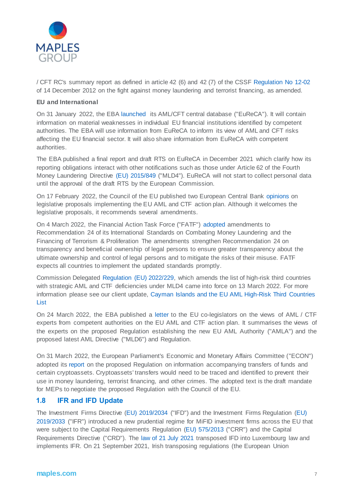

/ CFT RC's summary report as defined in article 42 (6) and 42 (7) of the CSSF [Regulation No 12-02](https://www.cssf.lu/en/Document/cssf-regulation-n12-02-2/) of 14 December 2012 on the fight against money laundering and terrorist financing, as amended.

#### **EU and International**

On 31 January 2022, the EB[A launched](https://www.eba.europa.eu/eba-launches-today-eureca-eus-central-database-anti-money-laundering-and-counter-terrorism-financing) its AML/CFT central database ("EuReCA"). It will contain information on material weaknesses in individual EU financial institutions identified by competent authorities. The EBA will use information from EuReCA to inform its view of AML and CFT risks affecting the EU financial sector. It will also share information from EuReCA with competent authorities.

The EBA published a final report and draft RTS on EuReCA in December 2021 which clarify how its reporting obligations interact with other notifications such as those under Article 62 of the Fourth Money Laundering Directive [\(EU\) 2015/849](https://eur-lex.europa.eu/legal-content/EN/TXT/?uri=CELEX%3A02015L0849-20210630) ("MLD4"). EuReCA will not start to collect personal data until the approval of the draft RTS by the European Commission.

On 17 February 2022, the Council of the EU published two European Central Bank [opinions](https://www.ecb.europa.eu/pub/pdf/other/en_con_2022_5_f_sign~28d246a36e..pdf) on legislative proposals implementing the EU AML and CTF action plan. Although it welcomes the legislative proposals, it recommends several amendments.

On 4 March 2022, the Financial Action Task Force ("FATF") [adopted](https://www.fatf-gafi.org/publications/fatfrecommendations/documents/r24-statement-march-2022.html) amendments to Recommendation 24 of its International Standards on Combating Money Laundering and the Financing of Terrorism & Proliferation The amendments strengthen Recommendation 24 on transparency and beneficial ownership of legal persons to ensure greater transparency about the ultimate ownership and control of legal persons and to mitigate the risks of their misuse. FATF expects all countries to implement the updated standards promptly.

Commission Delegated [Regulation \(EU\) 2022/229,](https://eur-lex.europa.eu/legal-content/EN/TXT/?uri=uriserv:OJ.L_.2022.039.01.0004.01.ENG) which amends the list of high-risk third countries with strategic AML and CTF deficiencies under MLD4 came into force on 13 March 2022. For more information please see our client update, [Cayman Islands and the EU AML High-Risk Third Countries](https://maples.com/en/knowledge-centre/2022/1/cayman-islands-and-the-eu-aml-high-risk-third-countries-list)  [List](https://maples.com/en/knowledge-centre/2022/1/cayman-islands-and-the-eu-aml-high-risk-third-countries-list)

On 24 March 2022, the EBA published a [letter](https://www.eba.europa.eu/sites/default/documents/files/document_library/About%20Us/Missions%20and%20tasks/Correspondence%20with%20EU%20institutions/2022/1028656/2022%2003%2024%20Letter%20to%20EC%20and%20EP%20co-legislators%20re%20AMLCFT%20legislative%20package.pdf) to the EU co-legislators on the views of AML / CTF experts from competent authorities on the EU AML and CTF action plan. It summarises the views of the experts on the proposed Regulation establishing the new EU AML Authority ("AMLA") and the proposed latest AML Directive ("MLD6") and Regulation.

On 31 March 2022, the European Parliament's Economic and Monetary Affairs Committee ("ECON") adopted it[s report](https://www.europarl.europa.eu/news/en/press-room/20220324IPR26164/crypto-assets-new-rules-to-stop-illicit-flows-in-the-eu) on the proposed Regulation on information accompanying transfers of funds and certain cryptoassets. Cryptoassets' transfers would need to be traced and identified to prevent their use in money laundering, terrorist financing, and other crimes. The adopted text is the draft mandate for MEPs to negotiate the proposed Regulation with the Council of the EU.

#### **1.8 IFR and IFD Update**

The Investment Firms Directive [\(EU\) 2019/2034](https://eur-lex.europa.eu/legal-content/EN/TXT/?uri=CELEX%3A32019L2034&qid=1610041098545) ("IFD") and the Investment Firms Regulation [\(EU\)](https://eur-lex.europa.eu/legal-content/EN/TXT/?uri=CELEX%3A32019R2033&qid=1610041074672)  [2019/2033](https://eur-lex.europa.eu/legal-content/EN/TXT/?uri=CELEX%3A32019R2033&qid=1610041074672) ("IFR") introduced a new prudential regime for MiFID investment firms across the EU that were subject to the Capital Requirements Regulation [\(EU\) 575/2013](https://eur-lex.europa.eu/legal-content/EN/TXT/?uri=celex%3A32013R0575) ("CRR") and the Capital Requirements Directive ("CRD"). The [law of 21 July 2021](https://data.legilux.public.lu/file/eli-etat-leg-loi-2021-07-21-a566-jo-fr-pdf.pdf) transposed IFD into Luxembourg law and implements IFR. On 21 September 2021, Irish transposing regulations (the European Union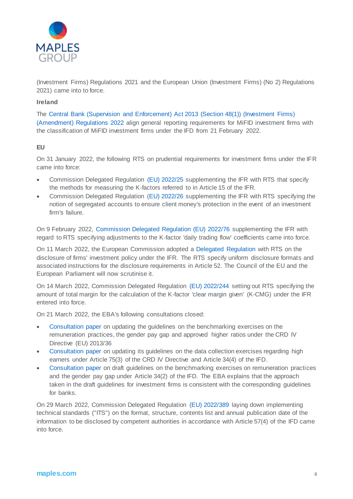

(Investment Firms) Regulations 2021 and the European Union (Investment Firms) (No 2) Regulations 2021) came into to force.

#### **Ireland**

The [Central Bank \(Supervision and Enforcement\) Act 2013 \(Section 48\(1\)\) \(Investment Firms\)](https://www.irishstatutebook.ie/eli/2022/si/45/made/en/print)  [\(Amendment\) Regulations 2022](https://www.irishstatutebook.ie/eli/2022/si/45/made/en/print) align general reporting requirements for MiFID investment firms with the classification of MiFID investment firms under the IFD from 21 February 2022.

#### **EU**

On 31 January 2022, the following RTS on prudential requirements for investment firms under the IFR came into force:

- Commission Delegated Regulation [\(EU\) 2022/25](https://eur-lex.europa.eu/legal-content/EN/TXT/?uri=CELLAR%3A3b8c9853-7281-11ec-9136-01aa75ed71a1) supplementing the IFR with RTS that specify the methods for measuring the K-factors referred to in Article 15 of the IFR.
- Commission Delegated Regulation [\(EU\) 2022/26](https://eur-lex.europa.eu/legal-content/EN/TXT/?uri=uriserv%3AOJ.L_.2022.006.01.0007.01.ENG&toc=OJ%3AL%3A2022%3A006%3ATOC) supplementing the IFR with RTS specifying the notion of segregated accounts to ensure client money's protection in the event of an investment firm's failure.

On 9 February 2022, Commission [Delegated Regulation \(EU\) 2022/76](https://eur-lex.europa.eu/legal-content/EN/TXT/PDF/?uri=CELEX:32022R0076&from=EN) supplementing the IFR with regard to RTS specifying adjustments to the K-factor 'daily trading flow' coefficients came into force.

On 11 March 2022, the European Commission adopted a [Delegated Regulation](https://ec.europa.eu/transparency/documents-register/api/files/C(2022)1413_0/090166e5e9893532?rendition=false) with RTS on the disclosure of firms' investment policy under the IFR. The RTS specify uniform disclosure formats and associated instructions for the disclosure requirements in Article 52. The Council of the EU and the European Parliament will now scrutinise it.

On 14 March 2022, Commission Delegated Regulation [\(EU\) 2022/244](https://eur-lex.europa.eu/legal-content/EN/TXT/?uri=uriserv:OJ.L_.2022.041.01.0001.01.ENG&toc=OJ:L:2022:041:TOC) setting out RTS specifying the amount of total margin for the calculation of the K-factor 'clear margin given' (K-CMG) under the IFR entered into force.

On 21 March 2022, the EBA's following consultations closed:

- [Consultation paper](https://www.eba.europa.eu/sites/default/documents/files/document_library/Publications/Consultations/2022/Consultation%20on%20draft%20Guidelines%20on%20the%20remuneration%2C%20gender%20pay%20gap%20and%20approved%20higher%20ratio%20benchmarking%20exercises%20under%20CRD/1026149/CP%20on%20draft%20Guidelines%20on%20remuneration%20benchmarking%20under%20CRD.pdf) on updating the guidelines on the benchmarking exercises on the remuneration practices, the gender pay gap and approved higher ratios under the CRD IV Directive (EU) 2013/36
- [Consultation paper](https://www.eba.europa.eu/sites/default/documents/files/document_library/Publications/Consultations/2022/Consultation%20on%20draft%20Guidelines%20on%20the%20high%20earner%20data%20collection%20exercises%20under%20CRD%20and%20IFD/1026151/CP%20on%20draft%20Guidelines%20on%20High%20Earners%20Data%20Collection%20under%20CRD%20and%20IFD%29.pdf) on updating its guidelines on the data collection exercises regarding high earners under Article 75(3) of the CRD IV Directive and Article 34(4) of the IFD.
- [Consultation paper](https://www.eba.europa.eu/sites/default/documents/files/document_library/Publications/Consultations/2022/Consultation%20on%20draft%20Guidelines%20on%20the%20remuneration%20and%20gender%20pay%20gap%20benchmarking%20exercises%20under%20IFD/1026150/CP%20on%20draft%20Guidelines%20on%20remuneration%20benchmarking%20under%20IFD.pdf) on draft guidelines on the benchmarking exercises on remuneration practices and the gender pay gap under Article 34(2) of the IFD. The EBA explains that the approach taken in the draft guidelines for investment firms is consistent with the corresponding guidelines for banks.

On 29 March 2022, Commission Delegated Regulation [\(EU\) 2022/389](https://eur-lex.europa.eu/legal-content/EN/TXT/PDF/?uri=CELEX:32022R0389&from=EN) laying down implementing technical standards ("ITS") on the format, structure, contents list and annual publication date of the information to be disclosed by competent authorities in accordance with Article 57(4) of the IFD came into force.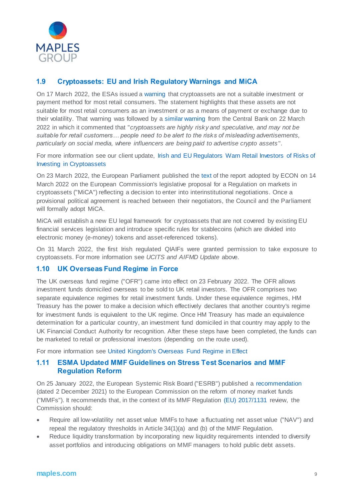

#### **1.9 Cryptoassets: EU and Irish Regulatory Warnings and MiCA**

On 17 March 2022, the ESAs issued a [warning](https://www.esma.europa.eu/sites/default/files/library/esa_2022_15_joint_esas_warning_on_crypto-assets.pdf) that cryptoassets are not a suitable investment or payment method for most retail consumers. The statement highlights that these assets are not suitable for most retail consumers as an investment or as a means of payment or exchange due to their volatility. That warning was followed by a [similar warning](https://www.centralbank.ie/news/article/central-bank-warning-on-investing-in-crypto-assets-22-march-2022) from the Central Bank on 22 March 2022 in which it commented that "*cryptoassets are highly risky and speculative, and may not be suitable for retail customers… people need to be alert to the risks of misleading advertisements, particularly on social media, where influencers are being paid to advertise crypto assets* ".

For more information see our client update, [Irish and EU Regulators Warn Retail Investors of Risks of](https://maples.com/en/knowledge-centre/2022/3/irish-and-eu-regulators-warn-of-risks-of-investing-in-crypto-assets)  [Investing in Cryptoassets](https://maples.com/en/knowledge-centre/2022/3/irish-and-eu-regulators-warn-of-risks-of-investing-in-crypto-assets)

On 23 March 2022, the European Parliament published th[e text](https://www.europarl.europa.eu/doceo/document/A-9-2022-0052_EN.html#title3) of the report adopted by ECON on 14 March 2022 on the European Commission's legislative proposal for a Regulation on markets in cryptoassets ("MiCA") reflecting a decision to enter into interinstitutional negotiations. Once a provisional political agreement is reached between their negotiators, the Council and the Parliament will formally adopt MiCA.

MiCA will establish a new EU legal framework for cryptoassets that are not covered by existing EU financial services legislation and introduce specific rules for stablecoins (which are divided into electronic money (e-money) tokens and asset-referenced tokens).

On 31 March 2022, the first Irish regulated QIAIFs were granted permission to take exposure to cryptoassets. For more information see *UCITS and AIFMD Update* above.

#### **1.10 UK Overseas Fund Regime in Force**

The UK overseas fund regime ("OFR") came into effect on 23 February 2022. The OFR allows investment funds domiciled overseas to be sold to UK retail investors. The OFR comprises two separate equivalence regimes for retail investment funds. Under these equivalence regimes, HM Treasury has the power to make a decision which effectively declares that another country's regime for investment funds is equivalent to the UK regime. Once HM Treasury has made an equivalence determination for a particular country, an investment fund domiciled in that country may apply to the UK Financial Conduct Authority for recognition. After these steps have been completed, the funds can be marketed to retail or professional investors (depending on the route used).

For more information see [United Kingdom's Overseas Fund Regime in Effect](https://thoughts.maples.com/post/102hk3d/united-kingdoms-overseas-fund-regime-in-effect)

#### **1.11 ESMA Updated MMF Guidelines on Stress Test Scenarios and MMF Regulation Reform**

On 25 January 2022, the European Systemic Risk Board ("ESRB") published a [recommendation](https://www.esrb.europa.eu/pub/pdf/recommendations/esrb.recommendation220125_on_reform_of_money_market_funds~30936c5629.en.pdf?26a37498f9b2917912eb6bd1dc5824d7) (dated 2 December 2021) to the European Commission on the reform of money market funds ("MMFs"). It recommends that, in the context of its MMF Regulation [\(EU\) 2017/1131](https://eur-lex.europa.eu/legal-content/en/ALL/?uri=CELEX:32017R1131) review, the Commission should:

- Require all low-volatility net asset value MMFs to have a fluctuating net asset value ("NAV") and repeal the regulatory thresholds in Article 34(1)(a) and (b) of the MMF Regulation.
- Reduce liquidity transformation by incorporating new liquidity requirements intended to diversify asset portfolios and introducing obligations on MMF managers to hold public debt assets.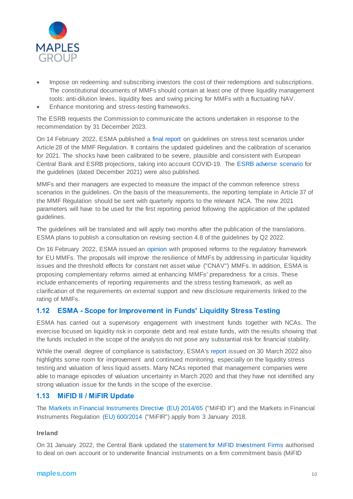

- Impose on redeeming and subscribing investors the cost of their redemptions and subscriptions. The constitutional documents of MMFs should contain at least one of three liquidity management tools: anti-dilution levies, liquidity fees and swing pricing for MMFs with a fluctuating NAV.
- Enhance monitoring and stress-testing frameworks.

The ESRB requests the Commission to communicate the actions undertaken in response to the recommendation by 31 December 2023.

On 14 February 2022, ESMA published a [final report](https://www.esma.europa.eu/sites/default/files/library/esma50-1664-5224_final_report_2021_guidelines_on_mmf_stress_tests.pdf) on guidelines on stress test scenarios under Article 28 of the MMF Regulation. It contains the updated guidelines and the calibration of scenarios for 2021. The shocks have been calibrated to be severe, plausible and consistent with European Central Bank and ESRB projections, taking into account COVID-19. The [ESRB adverse scenario](https://www.esrb.europa.eu/mppa/stress/shared/pdf/esrb.stress_test220214~39696dad2b.en.pdf) for the guidelines (dated December 2021) were also published.

MMFs and their managers are expected to measure the impact of the common reference stress scenarios in the guidelines. On the basis of the measurements, the reporting template in Article 37 of the MMF Regulation should be sent with quarterly reports to the relevant NCA. The new 2021 parameters will have to be used for the first reporting period following the application of the updated guidelines.

The guidelines will be translated and will apply two months after the publication of the translations. ESMA plans to publish a consultation on revising section 4.8 of the guidelines by Q2 2022.

On 16 February 2022, ESMA issued an [opinion](https://www.esma.europa.eu/sites/default/files/library/esma34-49-437_finalreportmmfreview.pdf) with proposed reforms to the regulatory framework for EU MMFs. The proposals will improve the resilience of MMFs by addressing in particular liquidity issues and the threshold effects for constant net asset value ("CNAV") MMFs. In addition, ESMA is proposing complementary reforms aimed at enhancing MMFs' preparedness for a crisis. These include enhancements of reporting requirements and the stress testing framework, as well as clarification of the requirements on external support and new disclosure requirements linked to the rating of MMFs.

#### **1.12 ESMA - Scope for Improvement in Funds' Liquidity Stress Testing**

ESMA has carried out a supervisory engagement with investment funds together with NCAs. The exercise focused on liquidity risk in corporate debt and real estate funds, with the results showing that the funds included in the scope of the analysis do not pose any substantial risk for financial stability.

While the overall degree of compliance is satisfactory, ESMA'[s report](https://www.esma.europa.eu/press-news/esma-news/esma-and-ncas-find-room-improvement-in-funds%E2%80%99-liquidity-stress-testing) issued on 30 March 2022 also highlights some room for improvement and continued monitoring, especially on the liquidity stress testing and valuation of less liquid assets. Many NCAs reported that management companies were able to manage episodes of valuation uncertainty in March 2020 and that they have not identified any strong valuation issue for the funds in the scope of the exercise.

#### **1.13 MiFID II / MiFIR Update**

The Markets [in Financial Instruments Directive \(EU\) 2014/65](http://eur-lex.europa.eu/legal-content/EN/TXT/?uri=celex%3A32014L0065) ("MiFID II") and the Markets in Financial Instruments Regulation [\(EU\) 600/2014](http://eur-lex.europa.eu/legal-content/EN/TXT/?uri=CELEX%3A32014R0600) ("MiFIR") apply from 3 January 2018.

#### **Ireland**

On 31 January 2022, the Central Bank updated the [statement for MiFID Investment Firms](http://www.centralbank.ie/regulation/markets-update/article/issue-1-2022/central-bank-of-ireland/central-bank-updates-statement-for-mifid-investment-firms-authorised-to-deal-on-own-account-or-to-underwrite-financial-instruments-on-a-firm-commitment-basis-(mifid-activities-(3)-or-(6))) authorised to deal on own account or to underwrite financial instruments on a firm commitment basis (MiFID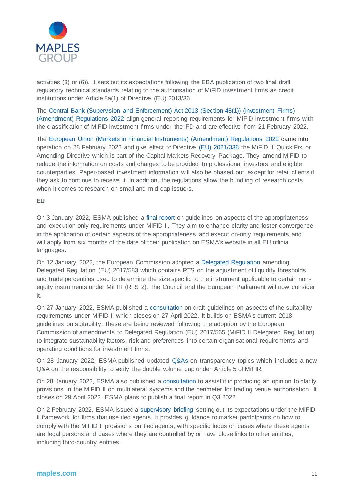

activities (3) or (6)). It sets out its expectations following the EBA publication of two final draft regulatory technical standards relating to the authorisation of MiFID investment firms as credit institutions under Article 8a(1) of Directive (EU) 2013/36.

The [Central Bank \(Supervision and Enforcement\) Act 2013 \(Section 48\(1\)\) \(Investment Firms\)](https://www.irishstatutebook.ie/eli/2022/si/45/made/en/print)  [\(Amendment\) Regulations 2022](https://www.irishstatutebook.ie/eli/2022/si/45/made/en/print) align general reporting requirements for MiFID investment firms with the classification of MiFID investment firms under the IFD and are effective from 21 February 2022.

The [European Union \(Markets in Financial Instruments\) \(Amendment\) Regulations 2022](https://www.irishstatutebook.ie/eli/2022/si/6/made/en/print) came into operation on 28 February 2022 and give effect to Directive [\(EU\) 2021/338](https://eur-lex.europa.eu/eli/dir/2021/338) the MiFID II 'Quick Fix' or Amending Directive which is part of the Capital Markets Recovery Package. They amend MiFID to reduce the information on costs and charges to be provided to professional investors and eligible counterparties. Paper-based investment information will also be phased out, except for retail clients if they ask to continue to receive it. In addition, the regulations allow the bundling of research costs when it comes to research on small and mid-cap issuers.

#### **EU**

On 3 January 2022, ESMA published [a final report](https://www.esma.europa.eu/sites/default/files/library/esma35-43-2938_gls_appropriateness_ex-only.pdf) on guidelines on aspects of the appropriateness and execution-only requirements under MiFID II. They aim to enhance clarity and foster convergence in the application of certain aspects of the appropriateness and execution-only requirements and will apply from six months of the date of their publication on ESMA's website in all EU official languages.

On 12 January 2022, the European Commission adopted [a Delegated Regulation](https://ec.europa.eu/transparency/documents-register/api/files/C(2022)52_0/090166e5e6ead28c?rendition=false) amending Delegated Regulation (EU) 2017/583 which contains RTS on the adjustment of liquidity thresholds and trade percentiles used to determine the size specific to the instrument applicable to certain nonequity instruments under MiFIR (RTS 2). The Council and the European Parliament will now consider it.

On 27 January 2022, ESMA published [a consultation o](https://www.esma.europa.eu/sites/default/files/library/esma35-43-2998_consultation_paper_on_review_mifid_ii_guidelines_on_suitability.pdf)n draft guidelines on aspects of the suitability requirements under MiFID II which closes on 27 April 2022. It builds on ESMA's current 2018 guidelines on suitability. These are being reviewed following the adoption by the European Commission of amendments to Delegated Regulation (EU) 2017/565 (MiFID II Delegated Regulation) to integrate sustainability factors, risk and preferences into certain organisational requirements and operating conditions for investment firms.

On 28 January 2022, ESMA published updated [Q&As](https://www.esma.europa.eu/sites/default/files/library/esma70-872942901-35_qas_transparency_issues.pdf) on transparency topics which includes a new Q&A on the responsibility to verify the double volume cap under Article 5 of MiFIR.

On 28 January 2022, ESMA also published a [consultation](https://www.esma.europa.eu/sites/default/files/library/esma70-156-4978_consultation_paper_on_the_opinion_on_trading_venue_perimeter.pdf) to assist it in producing an opinion to clarify provisions in the MiFID II on multilateral systems and the perimeter for trading venue authorisation. It closes on 29 April 2022. ESMA plans to publish a final report in Q3 2022.

On 2 February 2022, ESMA issued a [supervisory briefing](https://www.esma.europa.eu/sites/default/files/library/esma35-43-2900_supervisory_briefing_on_tied_agents.pdf) setting out its expectations under the MiFID II framework for firms that use tied agents. It provides guidance to market participants on how to comply with the MiFID II provisions on tied agents, with specific focus on cases where these agents are legal persons and cases where they are controlled by or have close links to other entities, including third-country entities.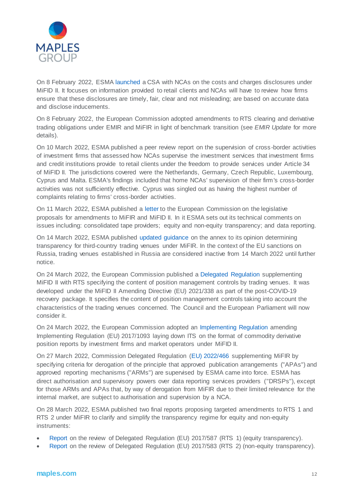

On 8 February 2022, ESM[A launched](https://www.esma.europa.eu/press-news/esma-news/esma-launches-common-supervisory-action-ncas-mifid-ii-costs-and-charges) a CSA with NCAs on the costs and charges disclosures under MiFID II. It focuses on information provided to retail clients and NCAs will have to review how firms ensure that these disclosures are timely, fair, clear and not misleading; are based on accurate data and disclose inducements.

On 8 February 2022, the European Commission adopted amendments to RTS clearing and derivative trading obligations under EMIR and MiFIR in light of benchmark transition (see *EMIR Update* for more details).

On 10 March 2022, ESMA published a peer review report on the supervision of cross -border activities of investment firms that assessed how NCAs supervise the investment services that investment firms and credit institutions provide to retail clients under the freedom to provide services under Article 34 of MiFID II. The jurisdictions covered were the Netherlands, Germany, Czech Republic, Luxembourg, Cyprus and Malta. ESMA's findings included that home NCAs' supervision of their firm's cross-border activities was not sufficiently effective. Cyprus was singled out as having the highest number of complaints relating to firms' cross-border activities.

On 11 March 2022, ESMA published a [letter](https://www.esma.europa.eu/sites/default/files/library/esma70-156-5299_letter_to_com_on_mifir_review_proposal.pdf) to the European Commission on the legislative proposals for amendments to MiFIR and MiFID II. In it ESMA sets out its technical comments on issues including: consolidated tape providers; equity and non-equity transparency; and data reporting.

On 14 March 2022, ESMA published [updated guidance](https://www.esma.europa.eu/sites/default/files/library/esma70-155-10587_guidance_on_annex_to_transparency_opinion.pdf) on the annex to its opinion determining transparency for third-country trading venues under MiFIR. In the context of the EU sanctions on Russia, trading venues established in Russia are considered inactive from 14 March 2022 until further notice.

On 24 March 2022, the European Commission published a [Delegated Regulation](https://nam02.safelinks.protection.outlook.com/?url=https%3A%2F%2Fec.europa.eu%2Ftransparency%2Fdocuments-register%2Fapi%2Ffiles%2FC(2022)1709%3FersIds%3D090166e5ea18dac0&data=04%7C01%7Cliz.cramb%40thomsonreuters.com%7Cf1e3a2e5ffaa4fdb3ad708da0daf82d0%7C62ccb8646a1a4b5d8e1c397dec1a8258%7C0%7C0%7C637837344738891342%7CUnknown%7CTWFpbGZsb3d8eyJWIjoiMC4wLjAwMDAiLCJQIjoiV2luMzIiLCJBTiI6Ik1haWwiLCJXVCI6Mn0%3D%7C3000&sdata=PCuGAlVFyMnBAHuTtznOqM37YWyF%2BJsWVF%2FiuFm%2B2cc%3D&reserved=0) supplementing MiFID II with RTS specifying the content of position management controls by trading venues. It was developed under the MiFID II Amending Directive (EU) 2021/338 as part of the post-COVID-19 recovery package. It specifies the content of position management controls taking into account the characteristics of the trading venues concerned. The Council and the European Parliament will now consider it.

On 24 March 2022, the European Commission adopted an [Implementing Regulation](https://nam02.safelinks.protection.outlook.com/?url=https%3A%2F%2Fec.europa.eu%2Ftransparency%2Fdocuments-register%2Fapi%2Ffiles%2FC(2022)1722_0%2F090166e5ea18a70d%3Frendition%3Dfalse&data=04%7C01%7Cliz.cramb%40thomsonreuters.com%7Cf1e3a2e5ffaa4fdb3ad708da0daf82d0%7C62ccb8646a1a4b5d8e1c397dec1a8258%7C0%7C0%7C637837344738891342%7CUnknown%7CTWFpbGZsb3d8eyJWIjoiMC4wLjAwMDAiLCJQIjoiV2luMzIiLCJBTiI6Ik1haWwiLCJXVCI6Mn0%3D%7C3000&sdata=f%2BYugA3B%2B8kkxaj1jwA5cA%2BKTwcwaia6t7jQU2fyT%2Bs%3D&reserved=0) amending Implementing Regulation (EU) 2017/1093 laying down ITS on the format of commodity derivative position reports by investment firms and market operators under MiFID II.

On 27 March 2022, Commission Delegated Regulation [\(EU\) 2022/466](https://eur-lex.europa.eu/legal-content/EN/TXT/PDF/?uri=CELEX:32022R0466&from=EN) supplementing MiFIR by specifying criteria for derogation of the principle that approved publication arrangements ("APAs") and approved reporting mechanisms ("ARMs") are supervised by ESMA came into force. ESMA has direct authorisation and supervisory powers over data reporting services providers ("DRSPs"), except for those ARMs and APAs that, by way of derogation from MiFIR due to their limited relevance for the internal market, are subject to authorisation and supervision by a NCA.

On 28 March 2022, ESMA published two final reports proposing targeted amendments to RTS 1 and RTS 2 under MiFIR to clarify and simplify the transparency regime for equity and non-equity instruments:

- [Report](https://www.esma.europa.eu/sites/default/files/library/esma70-156-4944_final_report_-_rts_1_review.pdf) on the review of Delegated Regulation (EU) 2017/587 (RTS 1) (equity transparency).
- [Report](https://www.esma.europa.eu/sites/default/files/library/esma70-156-4825_final_report_-_rts_2_review.pdf) on the review of Delegated Regulation (EU) 2017/583 (RTS 2) (non-equity transparency).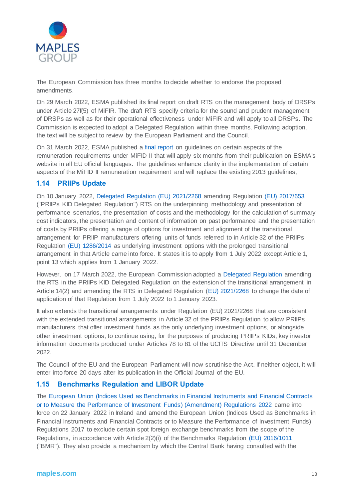

The European Commission has three months to decide whether to endorse the proposed amendments.

On 29 March 2022, ESMA published its final report on draft RTS on the management body of DRSPs under Article 27f(5) of MiFIR. The draft RTS specify criteria for the sound and prudent management of DRSPs as well as for their operational effectiveness under MiFIR and will apply to all DRSPs. The Commission is expected to adopt a Delegated Regulation within three months. Following adoption, the text will be subject to review by the European Parliament and the Council.

On 31 March 2022, ESMA published [a final report](https://www.esma.europa.eu/document/final-report-guidelines-certain-aspects-mifid-ii-remuneration-requirements) on guidelines on certain aspects of the remuneration requirements under MiFID II that will apply six months from their publication on ESMA's website in all EU official languages. The guidelines enhance clarity in the implementation of certain aspects of the MiFID II remuneration requirement and will replace the existing 2013 guidelines,

#### **1.14 PRIIPs Update**

On 10 January 2022, [Delegated Regulation \(EU\) 2021/2268](https://eur-lex.europa.eu/legal-content/EN/TXT/?uri=uriserv%3AOJ.LI.2021.455.01.0001.01.ENG&toc=OJ%3AL%3A2021%3A455I%3ATOC) amending Regulation [\(EU\) 2017/653](https://eur-lex.europa.eu/search.html?scope=EURLEX&text=%28EU%29+2017%2F653&lang=en&type=quick&qid=1641392974943) ("PRIIPs KID Delegated Regulation") RTS on the underpinning methodology and presentation of performance scenarios, the presentation of costs and the methodology for the calculation of summary cost indicators, the presentation and content of information on past performance and the presentation of costs by PRIIPs offering a range of options for investment and alignment of the transitional arrangement for PRIIP manufacturers offering units of funds referred to in Article 32 of the PRIIPs Regulation [\(EU\) 1286/2014](https://eur-lex.europa.eu/legal-content/EN/TXT/?uri=celex%3A32014R1286) as underlying investment options with the prolonged transitional arrangement in that Article came into force. It states it is to apply from 1 July 2022 except Article 1, point 13 which applies from 1 January 2022.

However, on 17 March 2022, the European Commission adopted a [Delegated Regulation](https://ec.europa.eu/transparency/documents-register/api/files/C(2022)1541_0/090166e5e9ca7936?rendition=false) amending the RTS in the PRIIPs KID Delegated Regulation on the extension of the transitional arrangement in Article 14(2) and amending the RTS in Delegated Regulation [\(EU\) 2021/2268](https://eur-lex.europa.eu/legal-content/EN/TXT/?uri=uriserv%3AOJ.LI.2021.455.01.0001.01.ENG&toc=OJ%3AL%3A2021%3A455I%3ATOC) to change the date of application of that Regulation from 1 July 2022 to 1 January 2023.

It also extends the transitional arrangements under Regulation (EU) 2021/2268 that are consistent with the extended transitional arrangements in Article 32 of the PRIIPs Regulation to allow PRIIPs manufacturers that offer investment funds as the only underlying investment options, or alongside other investment options, to continue using, for the purposes of producing PRIIPs KIDs, key investor information documents produced under Articles 78 to 81 of the UCITS Directive until 31 December 2022.

The Council of the EU and the European Parliament will now scrutinise the Act. If neither object, it will enter into force 20 days after its publication in the Official Journal of the EU.

#### **1.15 Benchmarks Regulation and LIBOR Update**

The [European Union \(Indices Used as Benchmarks in Financial Instruments and Financial Contracts](https://www.irishstatutebook.ie/eli/2022/si/35/made/en/pdf)  [or to Measure the Performance of Investment Funds\) \(Amendment\) Regulations 2022](https://www.irishstatutebook.ie/eli/2022/si/35/made/en/pdf) came into force on 22 January 2022 in Ireland and amend the European Union (Indices Used as Benchmarks in Financial Instruments and Financial Contracts or to Measure the Performance of Investment Funds) Regulations 2017 to exclude certain spot foreign exchange benchmarks from the scope of the Regulations, in accordance with Article 2(2)(i) of the Benchmarks Regulation [\(EU\) 2016/1011](https://eur-lex.europa.eu/legal-content/EN/TXT/?uri=CELEX%3A32016R1011) ("BMR"). They also provide a mechanism by which the Central Bank having consulted with the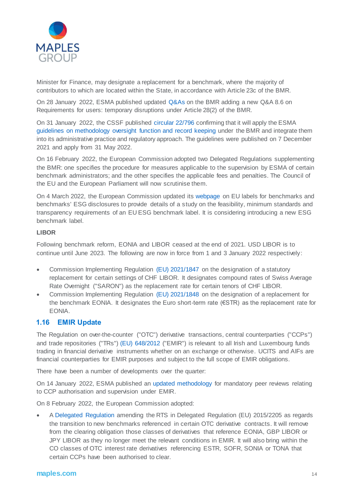

Minister for Finance, may designate a replacement for a benchmark, where the majority of contributors to which are located within the State, in accordance with Article 23c of the BMR.

On 28 January 2022, ESMA published updated [Q&As](https://www.esma.europa.eu/sites/default/files/library/esma70-145-114_qas_on_bmr.pdf) on the BMR adding a new Q&A 8.6 on Requirements for users: temporary disruptions under Article 28(2) of the BMR.

On 31 January 2022, the CSSF published [circular 22/796](https://www.cssf.lu/en/Document/circular-cssf-22-796/?utm_campaign=email-220131-c00a9) confirming that it will apply the ESMA [guidelines on methodology oversight function and record keeping](https://www.esma.europa.eu/document/guidelines-methodology-oversight-function-and-record-keeping-requirements) under the BMR and integrate them into its administrative practice and regulatory approach. The guidelines were published on 7 December 2021 and apply from 31 May 2022.

On 16 February 2022, the European Commission adopted two Delegated Regulations supplementing the BMR: one specifies the procedure for measures applicable to the supervision by ESMA of certain benchmark administrators; and the other specifies the applicable fees and penalties. The Council of the EU and the European Parliament will now scrutinise them.

On 4 March 2022, the European Commission updated its [webpage](https://ec.europa.eu/info/business-economy-euro/banking-and-finance/sustainable-finance/eu-climate-benchmarks-and-benchmarks-esg-disclosures_en#study) on EU labels for benchmarks and benchmarks' ESG disclosures to provide details of a study on the feasibility, minimum standards and transparency requirements of an EU ESG benchmark label. It is considering introducing a new ESG benchmark label.

#### **LIBOR**

Following benchmark reform, EONIA and LIBOR ceased at the end of 2021. USD LIBOR is to continue until June 2023. The following are now in force from 1 and 3 January 2022 respectively:

- Commission Implementing Regulation [\(EU\) 2021/1847](https://eur-lex.europa.eu/legal-content/EN/TXT/?uri=uriserv:OJ.L_.2021.374.01.0001.01.ENG) on the designation of a statutory replacement for certain settings of CHF LIBOR. It designates compound rates of Swiss Average Rate Overnight ("SARON") as the replacement rate for certain tenors of CHF LIBOR.
- Commission Implementing Regulation [\(EU\) 2021/1848](https://eur-lex.europa.eu/legal-content/EN/TXT/?uri=uriserv:OJ.L_.2021.374.01.0006.01.ENG) on the designation of a replacement for the benchmark EONIA. It designates the Euro short-term rate (€STR) as the replacement rate for EONIA.

#### **1.16 EMIR Update**

The Regulation on over-the-counter ("OTC") derivative transactions, central counterparties ("CCPs") and trade repositories ("TRs") [\(EU\) 648/2012](http://eur-lex.europa.eu/legal-content/EN/TXT/?uri=celex%3A32012R0648) ("EMIR") is relevant to all Irish and Luxembourg funds trading in financial derivative instruments whether on an exchange or otherwise. UCITS and AIFs are financial counterparties for EMIR purposes and subject to the full scope of EMIR obligations.

There have been a number of developments over the quarter:

On 14 January 2022, ESMA published an [updated methodology](https://www.esma.europa.eu/sites/default/files/library/esma70-151-3061_methodology_for_mandatory_peer_reviews_ccps.pdf) for mandatory peer reviews relating to CCP authorisation and supervision under EMIR.

On 8 February 2022, the European Commission adopted:

 [A Delegated Regulation](https://ec.europa.eu/transparency/documents-register/detail?ref=C(2022)619&lang=en) amending the RTS in Delegated Regulation (EU) 2015/2205 as regards the transition to new benchmarks referenced in certain OTC derivative contracts. It will remove from the clearing obligation those classes of derivatives that reference EONIA, GBP LIBOR or JPY LIBOR as they no longer meet the relevant conditions in EMIR. It will also bring within the CO classes of OTC interest rate derivatives referencing ESTR, SOFR, SONIA or TONA that certain CCPs have been authorised to clear.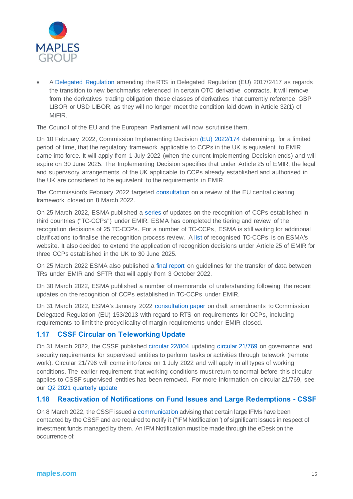

 [A Delegated Regulation](https://ec.europa.eu/transparency/documents-register/detail?ref=C(2022)620&lang=en) amending the RTS in Delegated Regulation (EU) 2017/2417 as regards the transition to new benchmarks referenced in certain OTC derivative contracts. It will remove from the derivatives trading obligation those classes of derivatives that currently reference GBP LIBOR or USD LIBOR, as they will no longer meet the condition laid down in Article 32(1) of MiFIR.

The Council of the EU and the European Parliament will now scrutinise them.

On 10 February 2022, Commission Implementing Decision [\(EU\) 2022/174](https://eur-lex.europa.eu/legal-content/EN/TXT/?uri=uriserv:OJ.L_.2022.028.01.0040.01.ENG) determining, for a limited period of time, that the regulatory framework applicable to CCPs in the UK is equivalent to EMIR came into force. It will apply from 1 July 2022 (when the current Implementing Decision ends) and will expire on 30 June 2025. The Implementing Decision specifies that under Article 25 of EMIR, the legal and supervisory arrangements of the UK applicable to CCPs already established and authorised in the UK are considered to be equivalent to the requirements in EMIR.

The Commission's February 2022 targeted [consultation](https://ec.europa.eu/info/sites/default/files/business_economy_euro/banking_and_finance/documents/2022-central-clearing-review-consultation-document_en.pdf) on a review of the EU central clearing framework closed on 8 March 2022.

On 25 March 2022, ESMA published a [series](https://www.esma.europa.eu/document/esma-public-statement-tcccps-march-2022) of updates on the recognition of CCPs established in third countries ("TC-CCPs") under EMIR. ESMA has completed the tiering and review of the recognition decisions of 25 TC-CCPs. For a number of TC-CCPs, ESMA is still waiting for additional clarifications to finalise the recognition process review. A [list](https://www.esma.europa.eu/sites/default/files/library/third-country_ccps_recognised_under_emir.pdf) of recognised TC-CCPs is on ESMA's website. It also decided to extend the application of recognition decisions under Article 25 of EMIR for three CCPs established in the UK to 30 June 2025.

On 25 March 2022 ESMA also published [a final report](https://www.esma.europa.eu/sites/default/files/library/esma74-362-2351_final_report_-_guidelines_on_data_transfer_between_trade_repositories_emir_sftr.pdf) on guidelines for the transfer of data between TRs under EMIR and SFTR that will apply from 3 October 2022.

On 30 March 2022, ESMA published a number of memoranda of understanding following the recent updates on the recognition of CCPs established in TC-CCPs under EMIR.

On 31 March 2022, ESMA's January 2022 [consultation paper](https://www.esma.europa.eu/sites/default/files/esma91-372-1975_consultation_paper_on_review_of_emir_rts_on_apc_margin_measures.pdf) on draft amendments to Commission Delegated Regulation (EU) 153/2013 with regard to RTS on requirements for CCPs, including requirements to limit the procyclicality of margin requirements under EMIR closed.

#### **1.17 CSSF Circular on Teleworking Update**

On 31 March 2022, the CSSF published [circular 22/804](https://www.cssf.lu/wp-content/uploads/cssf22_804eng.pdf) updating [circular 21/769](https://www.cssf.lu/en/Document/circular-cssf-21-769/) on governance and security requirements for supervised entities to perform tasks or activities through telework (remote work). Circular 21/796 will come into force on 1 July 2022 and will apply in all types of working conditions. The earlier requirement that working conditions must return to normal before this circular applies to CSSF supervised entities has been removed. For more information on circular 21/769, see our [Q2 2021 quarterly update](https://maples.com/en/knowledge-centre/2021/7/funds-and-investment-management-update---ireland-and-luxembourg-q2-2021)

#### **1.18 Reactivation of Notifications on Fund Issues and Large Redemptions - CSSF**

On 8 March 2022, the CSSF issued [a communication](https://www.cssf.lu/en/2022/03/reactivation-of-the-ifm-notifications-on-fund-issues-and-large-redemptions-via-edesk/) advising that certain large IFMs have been contacted by the CSSF and are required to notify it ("IFM Notification") of significant issues in respect of investment funds managed by them. An IFM Notification must be made through the eDesk on the occurrence of: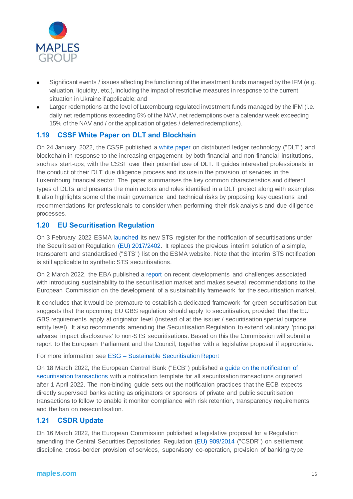

- Significant events / issues affecting the functioning of the investment funds managed by the IFM (e.g. valuation, liquidity, etc.), including the impact of restrictive measures in response to the current situation in Ukraine if applicable; and
- Larger redemptions at the level of Luxembourg regulated investment funds managed by the IFM (i.e. daily net redemptions exceeding 5% of the NAV, net redemptions over a calendar week exceeding 15% of the NAV and / or the application of gates / deferred redemptions).

#### **1.19 CSSF White Paper on DLT and Blockhain**

On 24 January 2022, the CSSF published [a white paper](https://www.cssf.lu/en/2022/01/the-cssf-published-a-white-paper-on-dlt-and-blockchain/) on distributed ledger technology ("DLT") and blockchain in response to the increasing engagement by both financial and non-financial institutions, such as start-ups, with the CSSF over their potential use of DLT. It guides interested professionals in the conduct of their DLT due diligence process and its use in the provision of services in the Luxembourg financial sector. The paper summarises the key common characteristics and different types of DLTs and presents the main actors and roles identified in a DLT project along with examples. It also highlights some of the main governance and technical risks by proposing key questions and recommendations for professionals to consider when performing their risk analysis and due diligence processes.

#### **1.20 EU Securitisation Regulation**

On 3 February 2022 ESMA [launched](https://www.esma.europa.eu/press-news/esma-news/esma-launches-its-new-sts-register) its new STS register for the notification of securitisations under the Securitisation Regulation [\(EU\) 2017/2402.](https://eur-lex.europa.eu/legal-content/EN/TXT/?uri=uriserv:OJ.L_.2017.347.01.0035.01.ENG) It replaces the previous interim solution of a simple, transparent and standardised ("STS") list on the ESMA website. Note that the interim STS notification is still applicable to synthetic STS securitisations.

On 2 March 2022, the EBA published a [report](https://www.eba.europa.eu/sites/default/documents/files/document_library/Publications/Reports/2022/1027593/EBA%20report%20on%20sustainable%20securitisation.pdf) on recent developments and challenges associated with introducing sustainability to the securitisation market and makes several recommendations to the European Commission on the development of a sustainability framework for the securitisation market.

It concludes that it would be premature to establish a dedicated framework for green securitisation but suggests that the upcoming EU GBS regulation should apply to securitisation, provided that the EU GBS requirements apply at originator level (instead of at the issuer / securitisation special purpose entity level). It also recommends amending the Securitisation Regulation to extend voluntary 'principal adverse impact disclosures' to non-STS securitisations. Based on this the Commission will submit a report to the European Parliament and the Council, together with a legislative proposal if appropriate.

For more information see ESG – [Sustainable Securitisation Report](https://maples.com/en/knowledge-centre/2022/3/esg-sustainable-securitisation-report)

On 18 March 2022, the European Central Bank ("ECB") published a [guide on the notification of](https://www.bankingsupervision.europa.eu/ecb/pub/pdf/ssm.Guide_on_the_notification_of_securitisation_transactions~af41af5e72.en.pdf)  [securitisation transactions](https://www.bankingsupervision.europa.eu/ecb/pub/pdf/ssm.Guide_on_the_notification_of_securitisation_transactions~af41af5e72.en.pdf) with a notification template for all securitisation transactions originated after 1 April 2022. The non-binding guide sets out the notification practices that the ECB expects directly supervised banks acting as originators or sponsors of private and public securitisation transactions to follow to enable it monitor compliance with risk retention, transparency requirements and the ban on resecuritisation.

#### **1.21 CSDR Update**

On 16 March 2022, the European Commission published a legislative proposal for a Regulation amending the Central Securities Depositories Regulation [\(EU\) 909/2014](https://eur-lex.europa.eu/legal-content/EN/TXT/?uri=CELEX%3A32014R0909) ("CSDR") on settlement discipline, cross-border provision of services, supervisory co-operation, provision of banking-type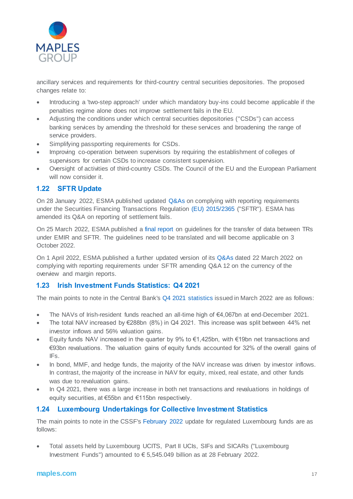

ancillary services and requirements for third-country central securities depositories. The proposed changes relate to:

- Introducing a 'two-step approach' under which mandatory buy-ins could become applicable if the penalties regime alone does not improve settlement fails in the EU.
- Adjusting the conditions under which central securities depositories ("CSDs") can access banking services by amending the threshold for these services and broadening the range of service providers.
- Simplifying passporting requirements for CSDs.
- Improving co-operation between supervisors by requiring the establishment of colleges of supervisors for certain CSDs to increase consistent supervision.
- Oversight of activities of third-country CSDs. The Council of the EU and the European Parliament will now consider it.

#### **1.22 SFTR Update**

On 28 January 2022, ESMA published updated [Q&As](https://www.esma.europa.eu/sites/default/files/library/esma74-362-893_qas_on_sftr_data_reporting.pdf) on complying with reporting requirements under the Securities Financing Transactions Regulation [\(EU\) 2015/2365](https://eur-lex.europa.eu/legal-content/EN/TXT/?uri=CELEX%3A32015R2365&qid=1641393161744) ("SFTR"). ESMA has amended its Q&A on reporting of settlement fails.

On 25 March 2022, ESMA published [a final report](https://www.esma.europa.eu/sites/default/files/library/esma74-362-2351_final_report_-_guidelines_on_data_transfer_between_trade_repositories_emir_sftr.pdf) on guidelines for the transfer of data between TRs under EMIR and SFTR. The guidelines need to be translated and will become applicable on 3 October 2022.

On 1 April 2022, ESMA published a further updated version of its [Q&As](https://www.esma.europa.eu/sites/default/files/library/esma74-362-893_qas_on_sftr_data_reporting.pdf) dated 22 March 2022 on complying with reporting requirements under SFTR amending Q&A 12 on the currency of the overview and margin reports.

#### **1.23 Irish Investment Funds Statistics: Q4 2021**

The main points to note in the Central Bank's Q4 2021 [statistics](https://www.centralbank.ie/statistics/data-and-analysis/other-financial-sector-statistics/investment-funds) issued in March 2022 are as follows:

- The NAVs of Irish-resident funds reached an all-time high of €4,067bn at end-December 2021.
- The total NAV increased by €288bn (8%) in Q4 2021. This increase was split between 44% net investor inflows and 56% valuation gains.
- Equity funds NAV increased in the quarter by 9% to  $\epsilon$ 1,425bn, with  $\epsilon$ 19bn net transactions and €93bn revaluations. The valuation gains of equity funds accounted for 32% of the overall gains of IFs.
- In bond, MMF, and hedge funds, the majority of the NAV increase was driven by investor inflows. In contrast, the majority of the increase in NAV for equity, mixed, real estate, and other funds was due to revaluation gains.
- In Q4 2021, there was a large increase in both net transactions and revaluations in holdings of equity securities, at €55bn and €115bn respectively.

#### **1.24 Luxembourg Undertakings for Collective Investment Statistics**

The main points to note in the CSSF's [February 2022](https://www.cssf.lu/en/2022/04/global-situation-of-undertakings-for-collective-investment-at-the-end-of-february-2022/) update for regulated Luxembourg funds are as follows:

 Total assets held by Luxembourg UCITS, Part II UCIs, SIFs and SICARs ("Luxembourg Investment Funds") amounted to € 5,545.049 billion as at 28 February 2022.

#### **maples.com** <sup>17</sup>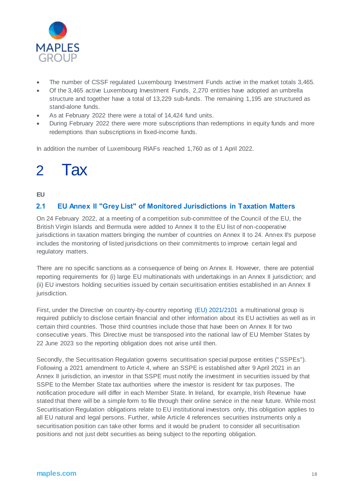

- The number of CSSF regulated Luxembourg Investment Funds active in the market totals 3,465.
- Of the 3,465 active Luxembourg Investment Funds, 2,270 entities have adopted an umbrella structure and together have a total of 13,229 sub-funds. The remaining 1,195 are structured as stand-alone funds.
- As at February 2022 there were a total of 14,424 fund units.
- During February 2022 there were more subscriptions than redemptions in equity funds and more redemptions than subscriptions in fixed-income funds.

In addition the number of Luxembourg RIAFs reached 1,760 as of 1 April 2022.

## 2 Tax

#### **EU**

#### **2.1 EU Annex II "Grey List" of Monitored Jurisdictions in Taxation Matters**

On 24 February 2022, at a meeting of a competition sub-committee of the Council of the EU, the British Virgin Islands and Bermuda were added to Annex II to the EU list of non-cooperative jurisdictions in taxation matters bringing the number of countries on Annex II to 24. Annex II's purpose includes the monitoring of listed jurisdictions on their commitments to improve certain legal and regulatory matters.

There are no specific sanctions as a consequence of being on Annex II. However, there are potential reporting requirements for (i) large EU multinationals with undertakings in an Annex II jurisdiction; and (ii) EU investors holding securities issued by certain securitisation entities established in an Annex II jurisdiction.

First, under the Directive on country-by-country reporting [\(EU\) 2021/2101](https://eur-lex.europa.eu/legal-content/EN/TXT/?uri=CELEX:32021L2101) a multinational group is required publicly to disclose certain financial and other information about its EU activities as well as in certain third countries. Those third countries include those that have been on Annex II for two consecutive years. This Directive must be transposed into the national law of EU Member States by 22 June 2023 so the reporting obligation does not arise until then.

Secondly, the Securitisation Regulation governs securitisation special purpose entities ("SSPEs"). Following a 2021 amendment to Article 4, where an SSPE is established after 9 April 2021 in an Annex II jurisdiction, an investor in that SSPE must notify the investment in securities issued by that SSPE to the Member State tax authorities where the investor is resident for tax purposes. The notification procedure will differ in each Member State. In Ireland, for example, Irish Revenue have stated that there will be a simple form to file through their online service in the near future. While most Securitisation Regulation obligations relate to EU institutional investors only, this obligation applies to all EU natural and legal persons. Further, while Article 4 references securities instruments only a securitisation position can take other forms and it would be prudent to consider all securitisation positions and not just debt securities as being subject to the reporting obligation.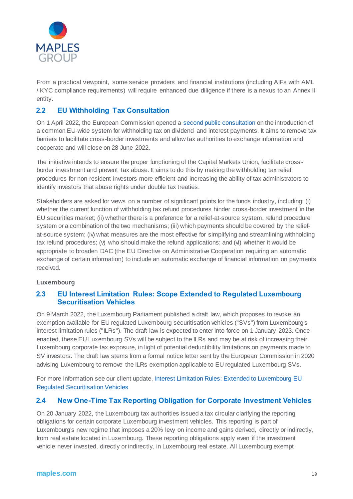

From a practical viewpoint, some service providers and financial institutions (including AIFs with AML / KYC compliance requirements) will require enhanced due diligence if there is a nexus to an Annex II entity.

#### **2.2 EU Withholding Tax Consultation**

On 1 April 2022, the European Commission opened a [second public consultation](https://ec.europa.eu/info/law/better-regulation/have-your-say/initiatives/13031-Retenues-a-la-source-nouveau-systeme-de-l%E2%80%99UE-visant-a-eviter-la-double-imposition/public-consultation_en) on the introduction of a common EU-wide system for withholding tax on dividend and interest payments. It aims to remove tax barriers to facilitate cross-border investments and allow tax authorities to exchange information and cooperate and will close on 28 June 2022.

The initiative intends to ensure the proper functioning of the Capital Markets Union, facilitate cross border investment and prevent tax abuse. It aims to do this by making the withholding tax relief procedures for non-resident investors more efficient and increasing the ability of tax administrators to identify investors that abuse rights under double tax treaties.

Stakeholders are asked for views on a number of significant points for the funds industry, including: (i) whether the current function of withholding tax refund procedures hinder cross-border investment in the EU securities market; (ii) whether there is a preference for a relief-at-source system, refund procedure system or a combination of the two mechanisms; (iii) which payments should be covered by the reliefat-source system; (iv) what measures are the most effective for simplifying and streamlining withholding tax refund procedures; (v) who should make the refund applications; and (vi) whether it would be appropriate to broaden DAC (the EU Directive on Administrative Cooperation requiring an automatic exchange of certain information) to include an automatic exchange of financial information on payments received.

#### **Luxembourg**

#### **2.3 EU Interest Limitation Rules: Scope Extended to Regulated Luxembourg Securitisation Vehicles**

On 9 March 2022, the Luxembourg Parliament published a draft law, which proposes to revoke an exemption available for EU regulated Luxembourg securitisation vehicles ("SVs") from Luxembourg's interest limitation rules ("ILRs"). The draft law is expected to enter into force on 1 January 2023. Once enacted, these EU Luxembourg SVs will be subject to the ILRs and may be at risk of increasing their Luxembourg corporate tax exposure, in light of potential deductibility limitations on payments made to SV investors. The draft law stems from a formal notice letter sent by the European Commission in 2020 advising Luxembourg to remove the ILRs exemption applicable to EU regulated Luxembourg SVs.

For more information see our client update[, Interest Limitation Rules: Extended to Luxembourg EU](https://maples.com/en/knowledge-centre/2022/03/30/18/28/interest-limitation-rules-extended-to-luxembourg-eu-regulated-securitisation-vehicles#:~:text=Interest%20Limitation%20Rules%3A%20Extended%20to%20Luxembourg%20EU%20Regulated%20Securitisation%20Vehicles,-31%20Mar%202022&text=On%209%20March%202022%2C%20the,rules%20(%22ILRs%22).)  [Regulated Securitisation Vehicles](https://maples.com/en/knowledge-centre/2022/03/30/18/28/interest-limitation-rules-extended-to-luxembourg-eu-regulated-securitisation-vehicles#:~:text=Interest%20Limitation%20Rules%3A%20Extended%20to%20Luxembourg%20EU%20Regulated%20Securitisation%20Vehicles,-31%20Mar%202022&text=On%209%20March%202022%2C%20the,rules%20(%22ILRs%22).)

#### **2.4 New One-Time Tax Reporting Obligation for Corporate Investment Vehicles**

On 20 January 2022, the Luxembourg tax authorities issued a tax circular clarifying the reporting obligations for certain corporate Luxembourg investment vehicles. This reporting is part of Luxembourg's new regime that imposes a 20% levy on income and gains derived, directly or indirectly, from real estate located in Luxembourg. These reporting obligations apply even if the investment vehicle never invested, directly or indirectly, in Luxembourg real estate. All Luxembourg exempt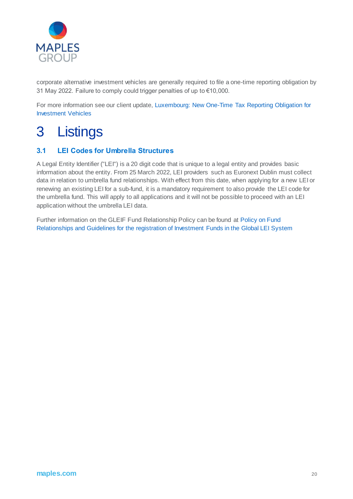

corporate alternative investment vehicles are generally required to file a one-time reporting obligation by 31 May 2022. Failure to comply could trigger penalties of up to €10,000.

For more information see our client update[, Luxembourg: New One-Time Tax Reporting Obligation for](https://maples.com/en/knowledge-centre/2022/2/luxembourg-new-one-time-tax-reporting-obligation)  [Investment Vehicles](https://maples.com/en/knowledge-centre/2022/2/luxembourg-new-one-time-tax-reporting-obligation)

### 3 Listings

#### **3.1 LEI Codes for Umbrella Structures**

A Legal Entity Identifier ("LEI") is a 20 digit code that is unique to a legal entity and provides basic information about the entity. From 25 March 2022, LEI providers such as Euronext Dublin must collect data in relation to umbrella fund relationships. With effect from this date, when applying for a new LEI or renewing an existing LEI for a sub-fund, it is a mandatory requirement to also provide the LEI code for the umbrella fund. This will apply to all applications and it will not be possible to proceed with an LEI application without the umbrella LEI data.

Further information on the GLEIF Fund Relationship Policy can be found at [Policy on Fund](https://www.leiroc.org/publications/gls/roc_20190520-1.pdf)  [Relationships and Guidelines for the registration of Investment Funds in the Global LEI System](https://www.leiroc.org/publications/gls/roc_20190520-1.pdf)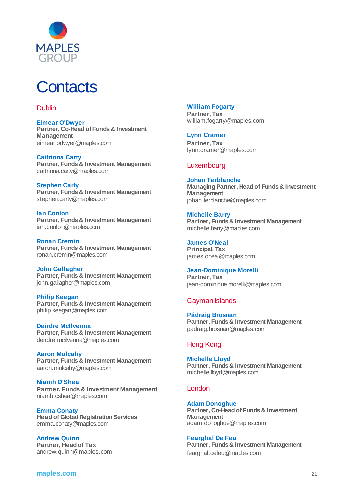

## **Contacts**

#### Dublin

**Eimear O'Dwyer Partner, Co-Head of Funds & Investment Management** [eimear.odwyer@maples.com](mailto:eimear.o)

**Caitriona Carty Partner, Funds & Investment Management** caitriona.carty@maples.com

**Stephen Carty Partner, Funds & Investment Management** [stephen.carty@maples.com](mailto:stephen.carty@maples.com)

**Ian Conlon Partner, Funds & Investment Management** [ian.conlon@maples.com](mailto:ian.conlon@maples.com)

**Ronan Cremin Partner, Funds & Investment Management** [ronan.cremin@maples.com](mailto:ronan.cremin@maples.com)

**John Gallagher Partner, Funds & Investment Management** [john.gallagher@maples.com](mailto:john.gallagher@maples.com)

**Philip Keegan Partner, Funds & Investment Management** [philip.keegan@maples.com](mailto:philip.keegan@maples.com)

**Deirdre McIlvenna Partner, Funds & Investment Management** [deirdre.mcilvenna@maples.com](mailto:deirdre.mcilvenna@maples.com)

**Aaron Mulcahy Partner, Funds & Investment Management** [aaron.mulcahy@maples.com](mailto:aaron.mulcahy@maples.com)

**Niamh O'Shea Partner, Funds & Investment Management** [niamh.oshea@maples.com](mailto:niamh.o)

**Emma Conaty Head of Global Registration Services** [emma.conaty@maples.com](mailto:emma.conaty@maples.com)

**Andrew Quinn Partner, Head of Tax** [andrew.quinn@maples.com](mailto:andrew.quinn@maples.com)

#### **William Fogarty**

**Partner, Tax** [william.fogarty@maples.com](mailto:william.fogarty@maples.com)

**Lynn Cramer Partner, Tax** lynn.cramer@maples.com

#### Luxembourg

**Johan Terblanche Managing Partner, Head of Funds & Investment Management** [johan.terblanche@maples.com](mailto:johan.terblanche@maples.com)

**Michelle Barry Partner, Funds & Investment Management**  [michelle.barry@maples.com](mailto:michelle.barry@maples.com)

**James O'Neal Principal, Tax** james.oneal@maples.com

**Jean-Dominique Morelli Partner, Tax** [jean-dominique.morelli@maples.com](mailto:jean-dominique.morelli@maples.com)

#### Cayman Islands

**Pádraig Brosnan Partner, Funds & Investment Management** [padraig.brosnan@maples.com](mailto:padraig.brosnan@maples.com)

#### Hong Kong

**Michelle Lloyd Partner, Funds & Investment Management** [michelle.lloyd@maples.com](mailto:michelle.lloyd@maples.com)

#### London

**Adam Donoghue Partner, Co-Head of Funds & Investment Management** [adam.donoghue@maples.com](mailto:adam.donoghue@maples.com)

**Fearghal De Feu Partner, Funds & Investment Management** fearghal.defeu@maples.com

**maples.com** <sup>21</sup>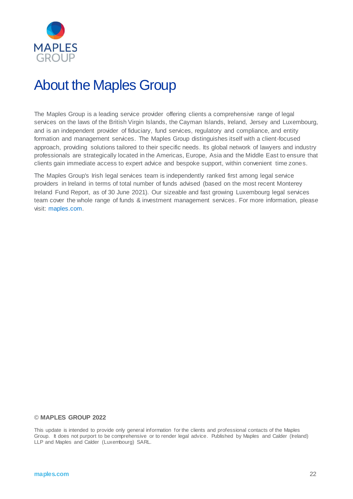

### About the Maples Group

The Maples Group is a leading service provider offering clients a comprehensive range of legal services on the laws of the British Virgin Islands, the Cayman Islands, Ireland, Jersey and Luxembourg, and is an independent provider of fiduciary, fund services, regulatory and compliance, and entity formation and management services. The Maples Group distinguishes itself with a client-focused approach, providing solutions tailored to their specific needs. Its global network of lawyers and industry professionals are strategically located in the Americas, Europe, Asia and the Middle East to ensure that clients gain immediate access to expert advice and bespoke support, within convenient time zones.

The Maples Group's Irish legal services team is independently ranked first among legal service providers in Ireland in terms of total number of funds advised (based on the most recent Monterey Ireland Fund Report, as of 30 June 2021). Our sizeable and fast growing Luxembourg legal services team cover the whole range of funds & investment management services. For more information, please visit: [maples.com](http://www.maples.com/).

#### © **MAPLES GROUP 2022**

This update is intended to provide only general information for the clients and professional contacts of the Maples Group. It does not purport to be comprehensive or to render legal advice. Published by Maples and Calder (Ireland) LLP and Maples and Calder (Luxembourg) SARL.